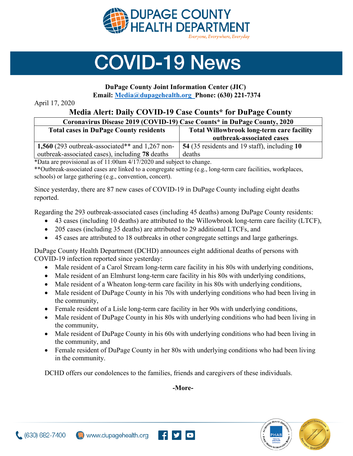

## **COVID-19 News**

## **DuPage County Joint Information Center (JIC)**

**Email: [Media@dupagehealth.org](mailto:Media@dupagehealth.org) Phone: (630) 221-7374**

April 17, 2020

## **Media Alert: Daily COVID-19 Case Counts\* for DuPage County**

| Coronavirus Disease 2019 (COVID-19) Case Counts* in DuPage County, 2020 |                                                  |
|-------------------------------------------------------------------------|--------------------------------------------------|
| <b>Total cases in DuPage County residents</b>                           | <b>Total Willowbrook long-term care facility</b> |
|                                                                         | outbreak-associated cases                        |
| 1,560 (293 outbreak-associated** and $1,267$ non-                       | 54 (35 residents and 19 staff), including 10     |
| outbreak-associated cases), including 78 deaths                         | deaths                                           |

\*Data are provisional as of 11:00am 4/17/2020 and subject to change.

\*\*Outbreak-associated cases are linked to a congregate setting (e.g., long-term care facilities, workplaces, schools) or large gathering (e.g., convention, concert).

Since yesterday, there are 87 new cases of COVID-19 in DuPage County including eight deaths reported.

Regarding the 293 outbreak-associated cases (including 45 deaths) among DuPage County residents:

- 43 cases (including 10 deaths) are attributed to the Willowbrook long-term care facility (LTCF),
- 205 cases (including 35 deaths) are attributed to 29 additional LTCFs, and
- 45 cases are attributed to 18 outbreaks in other congregate settings and large gatherings.

DuPage County Health Department (DCHD) announces eight additional deaths of persons with COVID-19 infection reported since yesterday:

- Male resident of a Carol Stream long-term care facility in his 80s with underlying conditions,
- Male resident of an Elmhurst long-term care facility in his 80s with underlying conditions,
- Male resident of a Wheaton long-term care facility in his 80s with underlying conditions,
- Male resident of DuPage County in his 70s with underlying conditions who had been living in the community,
- Female resident of a Lisle long-term care facility in her 90s with underlying conditions,
- Male resident of DuPage County in his 80s with underlying conditions who had been living in the community,
- Male resident of DuPage County in his 60s with underlying conditions who had been living in the community, and
- Female resident of DuPage County in her 80s with underlying conditions who had been living in the community.

DCHD offers our condolences to the families, friends and caregivers of these individuals.

**-More-**